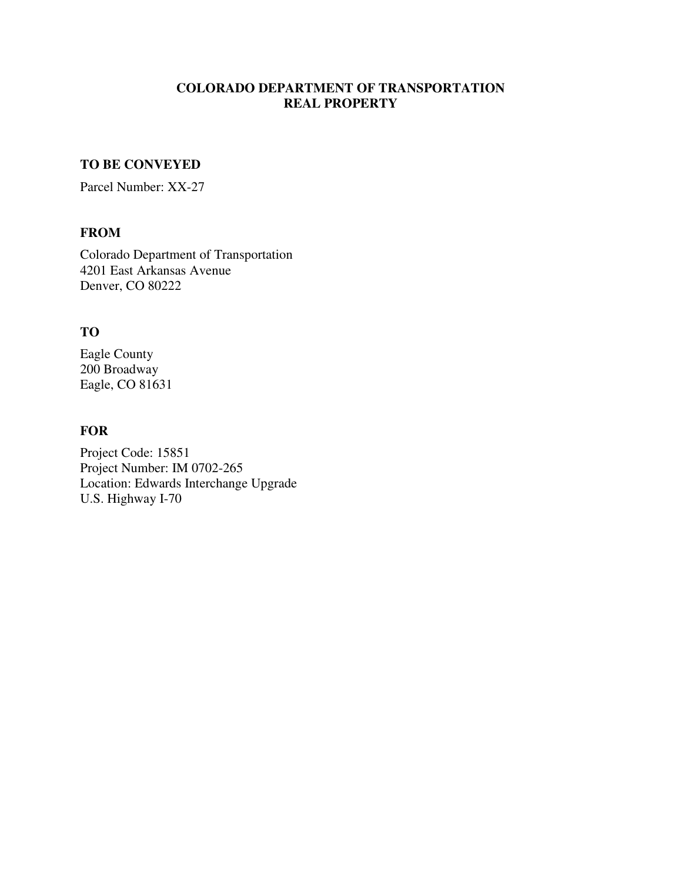# **COLORADO DEPARTMENT OF TRANSPORTATION REAL PROPERTY**

## **TO BE CONVEYED**

Parcel Number: XX-27

### **FROM**

Colorado Department of Transportation 4201 East Arkansas Avenue Denver, CO 80222

# **TO**

Eagle County 200 Broadway Eagle, CO 81631

# **FOR**

Project Code: 15851 Project Number: IM 0702-265 Location: Edwards Interchange Upgrade U.S. Highway I-70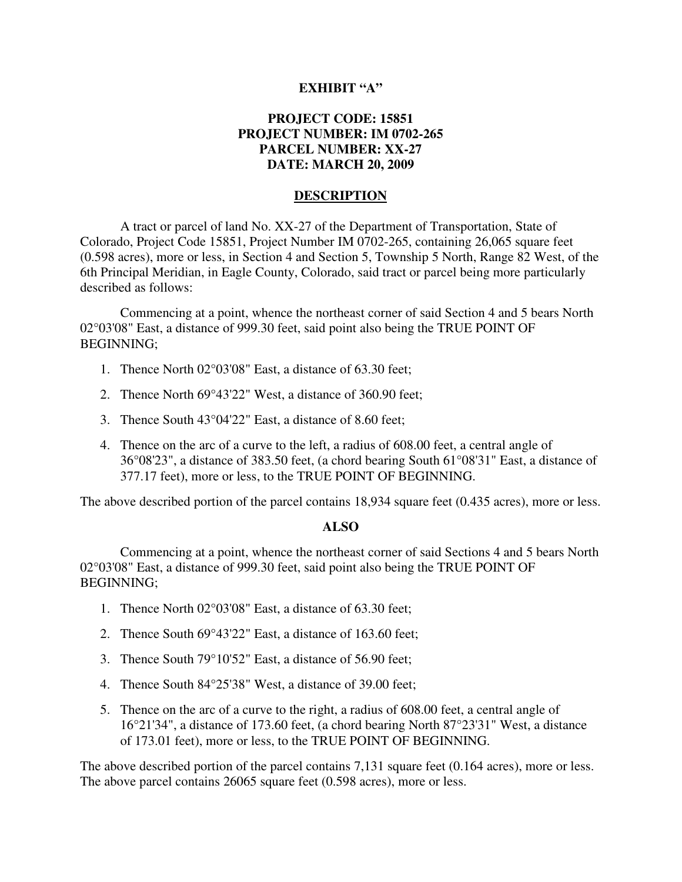### **EXHIBIT "A"**

## **PROJECT CODE: 15851 PROJECT NUMBER: IM 0702-265 PARCEL NUMBER: XX-27 DATE: MARCH 20, 2009**

#### **DESCRIPTION**

A tract or parcel of land No. XX-27 of the Department of Transportation, State of Colorado, Project Code 15851, Project Number IM 0702-265, containing 26,065 square feet (0.598 acres), more or less, in Section 4 and Section 5, Township 5 North, Range 82 West, of the 6th Principal Meridian, in Eagle County, Colorado, said tract or parcel being more particularly described as follows:

Commencing at a point, whence the northeast corner of said Section 4 and 5 bears North 02°03'08" East, a distance of 999.30 feet, said point also being the TRUE POINT OF BEGINNING;

- 1. Thence North 02°03'08" East, a distance of 63.30 feet;
- 2. Thence North 69°43'22" West, a distance of 360.90 feet;
- 3. Thence South 43°04'22" East, a distance of 8.60 feet;
- 4. Thence on the arc of a curve to the left, a radius of 608.00 feet, a central angle of 36°08'23", a distance of 383.50 feet, (a chord bearing South 61°08'31" East, a distance of 377.17 feet), more or less, to the TRUE POINT OF BEGINNING.

The above described portion of the parcel contains 18,934 square feet (0.435 acres), more or less.

#### **ALSO**

Commencing at a point, whence the northeast corner of said Sections 4 and 5 bears North 02°03'08" East, a distance of 999.30 feet, said point also being the TRUE POINT OF BEGINNING;

- 1. Thence North 02°03'08" East, a distance of 63.30 feet;
- 2. Thence South 69°43'22" East, a distance of 163.60 feet;
- 3. Thence South 79°10'52" East, a distance of 56.90 feet;
- 4. Thence South 84°25'38" West, a distance of 39.00 feet;
- 5. Thence on the arc of a curve to the right, a radius of 608.00 feet, a central angle of 16°21'34", a distance of 173.60 feet, (a chord bearing North 87°23'31" West, a distance of 173.01 feet), more or less, to the TRUE POINT OF BEGINNING.

The above described portion of the parcel contains 7,131 square feet (0.164 acres), more or less. The above parcel contains 26065 square feet (0.598 acres), more or less.